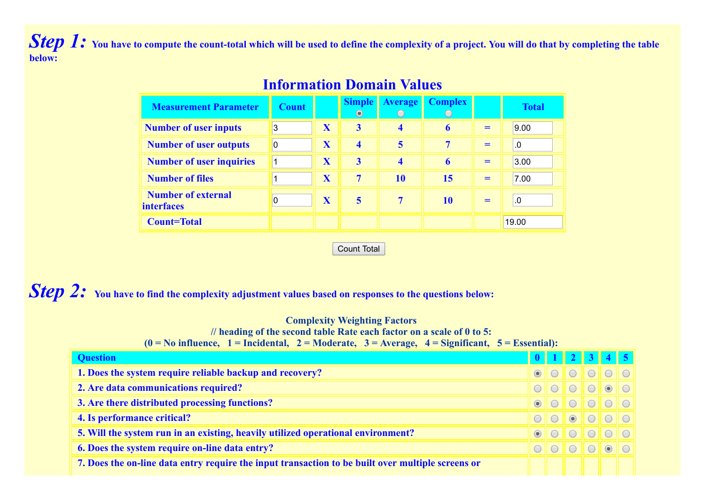Step 1: You have to compute the count-total which will be used to define the complexity of a project. You will do that by completing the table **below:**

| <b>Measurement Parameter</b>                   | <b>Count</b> |   | <b>Simple</b><br>$\odot$ | $Average \parallel$ | <b>Complex</b> |     | <b>Total</b> |
|------------------------------------------------|--------------|---|--------------------------|---------------------|----------------|-----|--------------|
| <b>Number of user inputs</b>                   | 3            | X | $\overline{\mathbf{3}}$  | 4                   | 6              | $=$ | 9.00         |
| <b>Number of user outputs</b>                  | $\Omega$     | X | 4                        | 5                   | 7              | $=$ | .0           |
| <b>Number of user inquiries</b>                |              | X | 3                        | 4                   |                | $=$ | 3.00         |
| <b>Number of files</b>                         |              | X | 7                        | <b>10</b>           | 15             | $=$ | 7.00         |
| <b>Number of external</b><br><i>interfaces</i> | 0            | X | 5                        | 7                   | 10             | $=$ | .0           |
| <b>Count=Total</b>                             |              |   |                          |                     |                |     | 19.00        |

## **Information Domain Values**

Count Total

*Step 2:* **You have to find the complexity adjustment values based on responses to the questions below:**

## **Complexity Weighting Factors**

**// heading of the second table Rate each factor on a scale of 0 to 5:**

 $(0 = No$  influence,  $1 = \text{Incidental}$ ,  $2 = \text{Modern}$ ,  $3 = \text{Average}$ ,  $4 = \text{Significant}$ ,  $5 = \text{Essential}$ ;

| <b>Question</b>                                                                                   |  |  |  |
|---------------------------------------------------------------------------------------------------|--|--|--|
| 1. Does the system require reliable backup and recovery?                                          |  |  |  |
| 2. Are data communications required?                                                              |  |  |  |
| 3. Are there distributed processing functions?                                                    |  |  |  |
| 4. Is performance critical?                                                                       |  |  |  |
| 5. Will the system run in an existing, heavily utilized operational environment?                  |  |  |  |
| 6. Does the system require on-line data entry?                                                    |  |  |  |
| 7. Does the on-line data entry require the input transaction to be built over multiple screens or |  |  |  |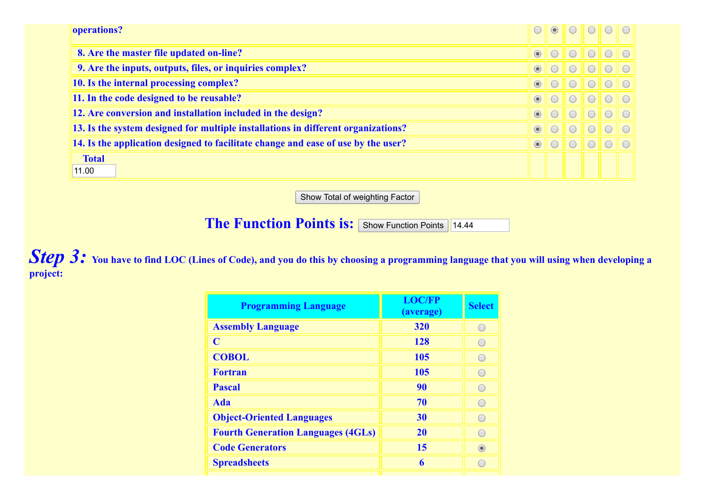| operations?                                                                       |         | $\odot$ |                        |                        |  |
|-----------------------------------------------------------------------------------|---------|---------|------------------------|------------------------|--|
| 8. Are the master file updated on-line?                                           | $\odot$ |         | $\left( \quad \right)$ |                        |  |
| 9. Are the inputs, outputs, files, or inquiries complex?                          | $\odot$ |         |                        |                        |  |
| 10. Is the internal processing complex?                                           | $\odot$ |         | $\left( \quad \right)$ | $\left( \quad \right)$ |  |
| 11. In the code designed to be reusable?                                          | $\odot$ |         |                        |                        |  |
| 12. Are conversion and installation included in the design?                       | $\odot$ |         | $\left( \quad \right)$ |                        |  |
| 13. Is the system designed for multiple installations in different organizations? | $\odot$ |         | $\left( \quad \right)$ |                        |  |
| 14. Is the application designed to facilitate change and ease of use by the user? | $\odot$ |         | $\left( \quad \right)$ | $\bigcap$              |  |
| <b>Total</b><br>11.00                                                             |         |         |                        |                        |  |

Show Total of weighting Factor

**The Function Points is:** Show Function Points 14.44

**Step 3:** You have to find LOC (Lines of Code), and you do this by choosing a programming language that you will using when developing a **project:**

| <b>Programming Language</b>               | <b>LOC/FP</b><br>(average) | <b>Select</b> |
|-------------------------------------------|----------------------------|---------------|
| <b>Assembly Language</b>                  | 320                        |               |
| C                                         | <b>128</b>                 |               |
| <b>COBOL</b>                              | 105                        |               |
| <b>Fortran</b>                            | 105                        |               |
| <b>Pascal</b>                             | 90                         |               |
| <b>Ada</b>                                | 70                         |               |
| <b>Object-Oriented Languages</b>          | 30                         |               |
| <b>Fourth Generation Languages (4GLs)</b> | <b>20</b>                  |               |
| <b>Code Generators</b>                    | 15                         | $\bullet$     |
| <b>Spreadsheets</b>                       | 6                          |               |